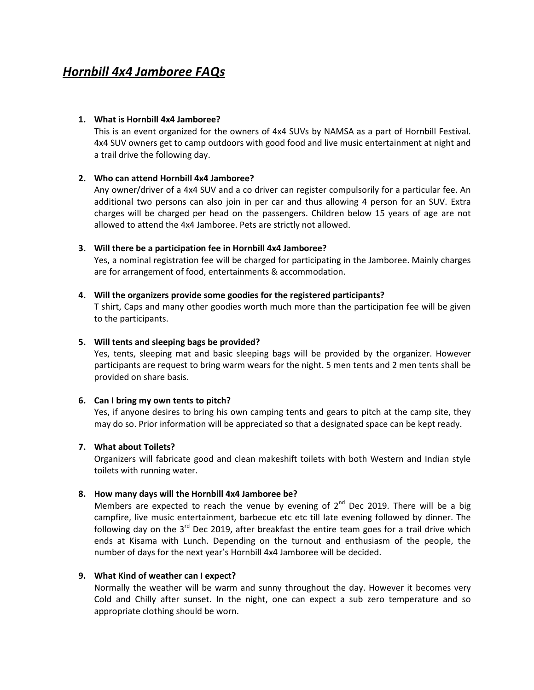# Hornbill 4x4 Jamboree FAQs

## 1. What is Hornbill 4x4 Jamboree?

This is an event organized for the owners of 4x4 SUVs by NAMSA as a part of Hornbill Festival. 4x4 SUV owners get to camp outdoors with good food and live music entertainment at night and a trail drive the following day.

## 2. Who can attend Hornbill 4x4 Jamboree?

Any owner/driver of a 4x4 SUV and a co driver can register compulsorily for a particular fee. An additional two persons can also join in per car and thus allowing 4 person for an SUV. Extra charges will be charged per head on the passengers. Children below 15 years of age are not allowed to attend the 4x4 Jamboree. Pets are strictly not allowed.

## 3. Will there be a participation fee in Hornbill 4x4 Jamboree?

Yes, a nominal registration fee will be charged for participating in the Jamboree. Mainly charges are for arrangement of food, entertainments & accommodation.

## 4. Will the organizers provide some goodies for the registered participants?

T shirt, Caps and many other goodies worth much more than the participation fee will be given to the participants.

## 5. Will tents and sleeping bags be provided?

Yes, tents, sleeping mat and basic sleeping bags will be provided by the organizer. However participants are request to bring warm wears for the night. 5 men tents and 2 men tents shall be provided on share basis.

## 6. Can I bring my own tents to pitch?

Yes, if anyone desires to bring his own camping tents and gears to pitch at the camp site, they may do so. Prior information will be appreciated so that a designated space can be kept ready.

## 7. What about Toilets?

Organizers will fabricate good and clean makeshift toilets with both Western and Indian style toilets with running water.

## 8. How many days will the Hornbill 4x4 Jamboree be?

Members are expected to reach the venue by evening of  $2<sup>nd</sup>$  Dec 2019. There will be a big campfire, live music entertainment, barbecue etc etc till late evening followed by dinner. The following day on the  $3<sup>rd</sup>$  Dec 2019, after breakfast the entire team goes for a trail drive which ends at Kisama with Lunch. Depending on the turnout and enthusiasm of the people, the number of days for the next year's Hornbill 4x4 Jamboree will be decided.

### 9. What Kind of weather can I expect?

Normally the weather will be warm and sunny throughout the day. However it becomes very Cold and Chilly after sunset. In the night, one can expect a sub zero temperature and so appropriate clothing should be worn.